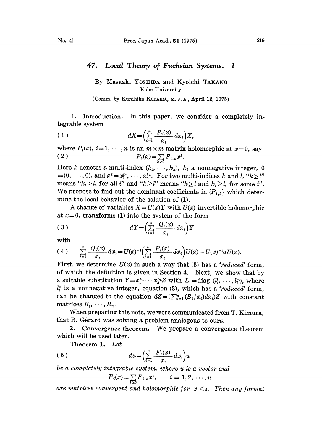## 47. Local Theory of Fuchsian Systems. <sup>I</sup>

## By Masaaki YOSHIDA and Kyoichi TAKANO Kobe University

(Comm. by Kunihiko KODAIRA, M. J. A., April 12, 1975)

1. Introduction. In this paper, we consider a completely integrable system

$$
(1) \t\t dX = \left(\sum_{i=1}^n \frac{P_i(x)}{x_i} dx_i\right) X,
$$

where  $P_i(x)$ ,  $i=1,\ldots,n$  is an  $m \times m$  matrix holomorphic at  $x=0$ , say (2)  $P_i(x) = \sum_{k \ge 0} P_{i,k} x^k$ 

Here k denotes a multi-index  $(k_1, \dots, k_n)$ ,  $k_i$  a nonnegative integer, 0  $=(0, \dots, 0)$ , and  $x^k = x_1^{k_1}, \dots, x_n^{k_n}$ . For two multi-indices k and l, " $k \geq l$ " means " $k_i \geq l_i$  for all i" and " $k > l$ " means " $k \geq l$  and  $k_i > l_i$  for some i". We propose to find out the dominant coefficients in  $\{P_{i,k}\}\$  which determine the local behavior of the solution of (1).

A change of variables  $X = U(x)Y$  with  $U(x)$  invertible holomorphic at  $x=0$ , transforms (1) into the system of the form

$$
(3) \t\t dY = \left(\sum_{i=1}^n \frac{Q_i(x)}{x_i} dx_i\right) Y
$$

with

$$
(4) \qquad \sum_{i=1}^n \frac{Q_i(x)}{x_i} dx_i = U(x)^{-1} \Big( \sum_{i=1}^n \frac{P_i(x)}{x_i} dx_i \Big) U(x) - U(x)^{-1} dU(x).
$$

First, we determine  $U(x)$  in such a way that (3) has a 'reduced' form, ot which the definition is given in Section 4. Next, we show that by a suitable substitution  $Y=x_1^{L_1}\cdots x_n^{L_n}Z$  with  $L_i=diag$   $(l_i^1,\ldots, l_i^n)$ , where  $l_i^{\alpha}$  is a nonnegative integer, equation (3), which has a 'reduced' form, can be changed to the equation  $dZ = (\sum_{i=1}^n (B_i/x_i)dx_i)Z$  with constant matrices  $B_1, \ldots, B_n$ .

When preparing this note, we were communicated from T. Kimura, that R. Gérard was solving a problem analogous to ours.

2. Convergence theorem. We prepare a convergence theorem which will be used later.

Theorem 1. Let

$$
(5) \t du = \left(\sum_{i=1}^{n} \frac{F_i(x)}{x_i} dx_i\right)u
$$

be a completely integrable system, where u is a vector and

$$
F_i(x) = \sum_{k \geq 0} F_{i,k} x^k, \qquad i = 1, 2, \cdots, n
$$

are matrices convergent and holomorphic for  $|x|<\varepsilon$ . Then any formal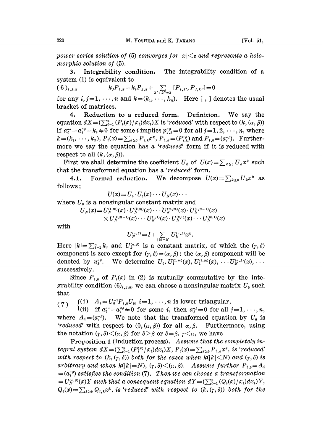power series solution of (5) converges for  $|x| \leq \varepsilon$  and represents a holomorphic solution of  $(5)$ .

:. Integrability condition. The integrability condition of a system (1) is equivalent to

(6),  $k_j P_{i,k} - k_i P_{j,k} + \sum_{k'+k''=k} [P_{i,k'}, P_{j,k''}] = 0$ 

for any  $i, j=1,\dots,n$  and  $k=(k_1,\dots, k_n)$ . Here [, ] denotes the usual bracket of matrices.

4. Reduction to a reduced form. Definition. We say the 4. Reduction to a reduced form. Definition. We say the equation  $dX = (\sum_{i=1}^n (P_i(x)/x_i)dx_i)X$  is 'reduced' with respect to  $(k, (\alpha, \beta))$  if  $a_i^{*\alpha} - a_i^{\beta} - k_i \neq 0$  for some *i* implies  $p_{j,k}^{\alpha\beta} = 0$  for all  $j = 1, 2, \dots, n$ , w equation  $dX = (\sum_{i=1}^n (P_i(x)/x_i) dx_i)X$  is 'reduced' with respect to  $(k, (\alpha, \beta))$ <br>if  $a_i^{\alpha\alpha} - a_i^{\beta\beta} - k_i \neq 0$  for some *i* implies  $p_{j,k}^{\alpha\beta} = 0$  for all  $j = 1, 2, \dots, n$ , where<br> $k = (k_1, \dots, k_n), P_i(x) = \sum_{k \ge 0} P_{i,k} x^k, P_{i,k} = (P_{$ more we say the equation has a 'reduced' form if it is reduced with respect to all  $(k, (\alpha, \beta))$ .

First we shall determine the coefficient  $U_k$  of  $U(x) = \sum_{k \geq 0} U_k x^k$  such that the transformed equation has a 'reduced' form.

4.1. Formal reduction. We decompose  $U(x) = \sum_{k>0} U_k x^k$  as follows;

$$
U(x) = U_0 \cdot U_1(x) \cdot \cdot \cdot U_N(x) \cdot \cdot \cdot
$$

where  $U_0$  is a nonsingular constant matrix and

$$
\begin{array}{l}U_{\scriptscriptstyle N}(x)\!=\!U_{\scriptscriptstyle N}^{(1,m)}(x)\!\cdot\! U_{\scriptscriptstyle N}^{(2,m)}(x)\!\cdot\!\cdot\!\cdot U_{\scriptscriptstyle N}^{(m,m)}(x)\!\cdot\! U_{\scriptscriptstyle N}^{(1,m-1)}(x)\\ \times U_{\scriptscriptstyle N}^{(2,m-1)}(x)\!\cdot\!\cdot\!\cdot U_{\scriptscriptstyle N}^{(1,1)}(x)\!\cdot\! U_{\scriptscriptstyle N}^{(2,1)}(x)\!\cdot\!\cdot\!\cdot U_{\scriptscriptstyle N}^{(m,1)}(x)\end{array}
$$

with

$$
U_{N}^{(\alpha,\beta)} = I + \sum_{|k|=N} U_{k}^{(\alpha,\beta)} x^{k}.
$$

Here  $|k| = \sum_{i=1}^n k_i$  and  $U_k^{(\alpha,\beta)}$  is a constant matrix, of which the  $(\gamma, \delta)$ component is zero except for  $(\gamma, \delta) = (\alpha, \beta)$ : the  $(\alpha, \beta)$  component will be denoted by  $u_k^{\alpha\beta}$ . We determine  $U_0, U_1^{(1,m)}(x), U_1^{(2,m)}(x), \cdots U_N^{(\alpha,\beta)}(x), \cdots$ successively.

Since  $P_{i,0}$  of  $P_i(x)$  in (2) is mutually commutative by the integrability condition  $(6)_{i,j;0}$ , we can choose a nonsingular matrix  $U_0$  such that

(7)  $\begin{array}{ll} \n\text{(i)} & A_i = U_0^{-1} P_{i,0} U_0, \, i = 1, \, \cdots, n \text{ is lower triangular,} \\
\text{(ii)} & \text{if } a_i^{a\alpha} - a_i^{\beta\beta} \pm 0 \text{ for some } i, \text{ then } a_i^{a\beta} = 0 \text{ for all } j = 1, \, \cdots, n, \n\end{array}$ where  $A_i = (a_i^{ab})$ . We note that the transformed equation by  $U_0$  is 'reduced' with respect to  $(0, (\alpha, \beta))$  for all  $\alpha, \beta$ . Furthermore, using the notation  $(\gamma, \delta) < (\alpha, \beta)$  for  $\delta > \beta$  or  $\delta = \beta$ ,  $\gamma < \alpha$ , we have

Proposition 1 (Induction process). Assume that the completely integral system  $dX = (\sum_{i=1}^n (P_i^{(x)}/x_i)dx_i)X$ ,  $P_i(x) = \sum_{k\geq 0} P_{i,k}x^k$ , is 'reduced' with respect to  $(k, (\gamma, \delta))$  both for the cases when  $k(|k| \le N)$  and  $(\gamma, \delta)$  is arbitrary and when  $k(|k|=N)$ ,  $(\gamma, \delta) < (\alpha, \beta)$ . Assume further  $P_{i,0} = A_i$  $=(a_i^{\alpha\beta})$  satisfies the condition (7). Then we can choose a transformation  $=U_N^{(\alpha,\beta)}(x)Y$  such that a consequent equation  $dY=(\sum_{i=1}^n (Q_i(x)/x_i)dx_i)Y$ ,  $Q_i(x) = \sum_{k\geq 0} Q_{i,k} x^k$ , is 'reduced' with respect to  $(k, (\gamma, \delta))$  both for the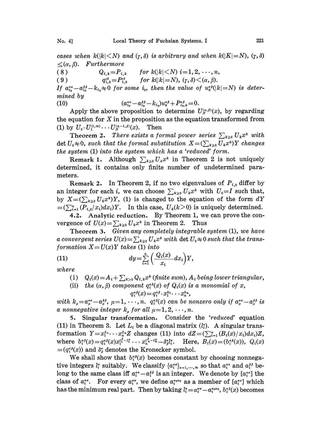cases when  $k(|k|< N)$  and  $(\gamma,\delta)$  is arbitrary and when  $k(|K|=N)$ ,  $(\gamma,\delta)$  $\leq (\alpha, \beta)$ . Furthermore

( 8 )  $Q_{i,k} = P_{i,k}$  for  $k(|k| \le N)$  i=1, 2, ..., n,

( 9 )  $q_{i,k}^{r\delta} = P_{i,k}^{r\delta}$  for  $k(|k|=N)$ ,  $(\gamma, \delta) < (\alpha, \beta)$ .

If  $a_{i_0}^{a\alpha} - a_{i_0}^{s\beta} - k_{i_0} \neq 0$  for some  $i_0$ , then the value of  $u_*^{\alpha\beta}(|k|=N)$  is determined by

(10) 
$$
(a_{i_0}^{\alpha\alpha} - a_{i_0}^{\beta\beta} - k_{i_0})u_k^{\alpha\beta} + P_{i_0,k}^{\alpha\beta} = 0.
$$

Apply the above proposition to determine  $U_{N}^{(\alpha,\beta)}(x)$ , by regarding the equation for  $X$  in the proposition as the equation transformed from (1) by  $U_0 \cdot U_1^{(1,m)} \cdots U_N^{(a-1,\beta)}(x)$ . Then

**Theorem 2.** There exists a formal power series  $\sum_{k\geq 0} U_k x^k$  with det  $U_0\neq 0$ , such that the formal substitution  $X=(\sum_{k\geq 0}U_kx^k)Y$  changes the system (1) into the system which has a 'reduced' form.

Remark 1. Although  $\sum_{k\geq 0} U_k x^k$  in Theorem 2 is not uniquely determined, it contains only finite number of undetermined parameters.

Remark 2. In Theorem 2, if no two eigenvalues of  $P_{i,0}$  differ by an integer for each i, we can choose  $\sum_{k\geq 0}U_k x^k$  with  $U_0=I$  such that, by  $X=(\sum_{k\geq 0}U_kx^k)Y$ , (1) is changed to the equation of the form  $dY$  $=(\sum_{i=1}^n (P_{i,0}/x_i)dx_i)Y$ . In this case,  $U_k(k>0)$  is uniquely determined.

4.2. Analytic reduction. By Theorem 1, we can prove the convergence of  $U(x) = \sum_{k\geq 0} U_k x^k$  in Theorem 2. Thus

Theorem 3. Given any completely integrable system (1), we have a convergent series  $U(x) = \sum_{k\geq 0} U_k x^k$  with det  $U_0 \neq 0$  such that the transformation  $X=U(x)Y$  takes (1) into

(11) 
$$
dy = \sum_{i=1}^n \left( \frac{Q_i(x)}{x_i} dx_i \right) Y,
$$

where

- (i)  $Q_i(x) = A_i + \sum_{k>0} Q_{i,k} x^k$  (finite sum),  $A_i$  being lower triangular,
- (ii) the  $(\alpha, \beta)$  component  $q_i^{a\beta}(x)$  of  $Q_i(x)$  is a monomial of x,<br>  $q_i^{a\beta}(x) = q_i^{a\beta} \cdot x_1^{k_1} \cdots x_n^{k_n}$ ,

$$
q_i^{\alpha\beta}(x) = q_i^{\alpha\beta} \cdot x_1^{k_1} \cdots x_n^{k_n},
$$

with  $k_u=a_u^{\alpha a}-a_u^{\beta\beta}, \mu=1,\cdots, n.$   $q_i^{\alpha\beta}(x)$  can be nonzero only if  $a_u^{\alpha a}-a_u^{\beta\beta}$  is a nonnegative integer  $k_u$  for all  $\mu = 1, 2, \dots, n$ .

5. Singular transformation. Consider the 'reduced' equation (11) in Theorem 3. Let  $L_i$  be a diagonal matrix  $(l_i^c)$ . A singular transformation  $Y=x_1^{L_1}\cdots x_n^{L_n}Z$  changes (11) into  $dZ=(\sum_{i=1}^n (B_i(x)/x_i)dx_i)Z$ , where  $b_i^{a\beta}(x)=q_i^{a\beta}(x)x_i^{l_1^{\beta}-l_1^{\alpha}}\cdots x_n^{l_n^{\beta}-l_n^{\alpha}}-\delta_{\beta}^{a}l_{i}^{\alpha}$ . Here,  $B_i(x)=(b_i^{a\beta}(x)), Q_i(x)$  $=(q_i^{\alpha\beta}(x))$  and  $\delta^{\alpha}_{\beta}$  denotes the Kronecker symbol.

We shall show that  $b_i^{\alpha\beta}(x)$  becomes constant by choosing nonnegative integers  $l_i^{\alpha}$  suitably. We classify  $\{a_i^{\alpha a}\}_{a=1,\dots,m}$  so that  $a_i^{\alpha a}$  and  $a_i^{\beta b}$  belong to the same class iff  $a_i^{aa} - a_i^{ab}$  is an integer. We denote by  $[a_i^{aa}]$  the class of  $a_i^{a\alpha}$ . For every  $a_i^{a\alpha}$ , we define  $a_i^{a\alpha}$  as a member of  $[a_i^{a\alpha}]$  which has the minimum real part. Then by taking  $l_i = \alpha_i^{a\alpha} - \alpha_i^{a_0\alpha_0}$ ,  $b_i^{a\beta}(x)$  becomes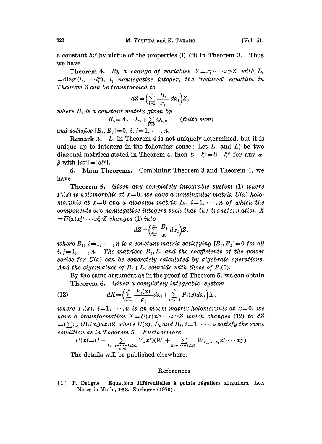a constant  $b_i^{s}$  by virtue of the properties (i), (ii) in Theorem 3. Thus we have

Theorem 4. By a change of variables  $Y=x_1^{L_1}\cdots x_n^{L_n}Z$  with  $L_i$  $=$ diag( $l_i^1, \dots l_i^n$ ),  $l_i^{\alpha}$  nonnegative integer, the 'reduced' equation in Theorem 3 can be transformed to

$$
dZ = \left(\sum_{i=1}^n \frac{B_i}{x_i} dx_i\right) Z,
$$

where  $B_i$  is a constant matrix given by

$$
B_i = A_i - L_i + \sum_{k>0} Q_{i,k} \qquad \text{(finite sum)}
$$

and satisfies  $[B_i, B_j]=0, i, j=1, \dots, n$ .

Remark 3.  $L_i$  in Theorem 4 is not uniquely determined, but it is unique up to integers in the following sense: Let  $L_i$  and  $L'_i$  be two diagonal matrices stated in Theorem 4, then  $l_i^{\alpha}-l_i^{\prime\alpha}=l_i^{\beta}-l_i^{\prime\beta}$  for any  $\alpha$ ,  $\beta$  with  $[a_i^{\alpha\alpha}]=[a_i^{\beta\beta}].$ 

5. Main Theorems. Combining Theorem 3 and Theorem 4, we have

Theorem 5. Given any completely integrable system (1) where  $P_i(x)$  is holomorphic at  $x=0$ , we have a nonsingular matrix  $U(x)$  holomorphic at  $x=0$  and a diagonal matrix  $L_i$ ,  $i=1,\dots, n$  of which the components are nonnegative integers such that the transformation X  $=U(x)x_1^{L_1}\cdots x_n^{L_n}Z$  changes (1) into

$$
dZ = \left(\sum_{i=1}^n \frac{B_i}{x_i} dx_i\right) Z,
$$

where  $B_i$ ,  $i=1,\dots,n$  is a constant matrix satisfying  $[B_i, B_j]=0$  for all  $i,j=1,\dots,n$ . The matrices  $B_i,L_i$  and the coefficients of the power series for  $U(x)$  can be concretely calculated by algebraic operations. And the eigenvalues of  $B_i + L_i$  coincide with those of  $P_i(0)$ .

By the same argument as in the proof of Theorem 5, we can obtain Theorem 6. Given a completely integrable system

(12) 
$$
dX = \left(\sum_{i=1}^{\nu} \frac{P_i(x)}{x_i} dx_i + \sum_{i=\nu+1}^{n} P_i(x) dx_i\right) X,
$$

where  $P_i(x)$ ,  $i=1,\dots,n$  is an  $m \times m$  matrix holomorphic at  $x=0$ , we have a transformation  $X = U(x)x_1^{L_1}\cdots x_\nu^{L_\nu}Z$  which changes (12) to dZ  $=(\sum_{i=1}^{\nu} (B_i/x_i)dx_i)Z$  where  $U(x)$ ,  $L_i$  and  $B_i$ ,  $i=1,\dots, \nu$  satisfy the same condition as in Theorem 5. Furthermore,

$$
U(x) = (I + \sum_{k_{\nu+1}+...+k_n \geq 1} V_k x^k)(W_0 + \sum_{k_1+...+k_{\nu} \geq 1} W_{k_1,...,k_{\nu}} x_1^{k_1} \cdots x_{\nu}^{k_{\nu}})
$$

The details will be published elsewhere.

## References

[1] P. Deligne: Equations differentielles à points réguliers singuliers. Lec. Notes in Math., 163. Springer (1970).